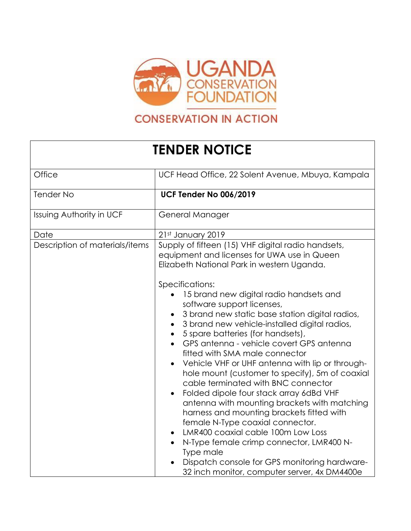

## **CONSERVATION IN ACTION**

## **TENDER NOTICE**

| Office                          | UCF Head Office, 22 Solent Avenue, Mbuya, Kampala                                                                                                                                                                                                                                                                                                                                                                                                                                                                                                                                                                                                                                                                                                                          |
|---------------------------------|----------------------------------------------------------------------------------------------------------------------------------------------------------------------------------------------------------------------------------------------------------------------------------------------------------------------------------------------------------------------------------------------------------------------------------------------------------------------------------------------------------------------------------------------------------------------------------------------------------------------------------------------------------------------------------------------------------------------------------------------------------------------------|
| Tender No                       | <b>UCF Tender No 006/2019</b>                                                                                                                                                                                                                                                                                                                                                                                                                                                                                                                                                                                                                                                                                                                                              |
| <b>Issuing Authority in UCF</b> | General Manager                                                                                                                                                                                                                                                                                                                                                                                                                                                                                                                                                                                                                                                                                                                                                            |
| Date                            | 21st January 2019                                                                                                                                                                                                                                                                                                                                                                                                                                                                                                                                                                                                                                                                                                                                                          |
| Description of materials/items  | Supply of fifteen (15) VHF digital radio handsets,<br>equipment and licenses for UWA use in Queen<br>Elizabeth National Park in western Uganda.<br>Specifications:<br>15 brand new digital radio handsets and                                                                                                                                                                                                                                                                                                                                                                                                                                                                                                                                                              |
|                                 | software support licenses,<br>3 brand new static base station digital radios,<br>3 brand new vehicle-installed digital radios,<br>5 spare batteries (for handsets),<br>GPS antenna - vehicle covert GPS antenna<br>fitted with SMA male connector<br>Vehicle VHF or UHF antenna with lip or through-<br>hole mount (customer to specify), 5m of coaxial<br>cable terminated with BNC connector<br>Folded dipole four stack array 6dBd VHF<br>antenna with mounting brackets with matching<br>harness and mounting brackets fitted with<br>female N-Type coaxial connector.<br>LMR400 coaxial cable 100m Low Loss<br>N-Type female crimp connector, LMR400 N-<br>Type male<br>Dispatch console for GPS monitoring hardware-<br>32 inch monitor, computer server, 4x DM4400e |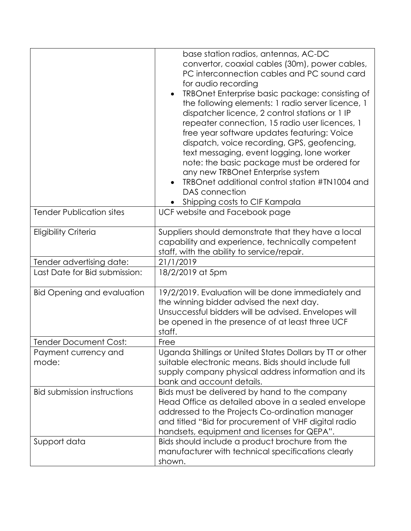|                                                    | base station radios, antennas, AC-DC<br>convertor, coaxial cables (30m), power cables,<br>PC interconnection cables and PC sound card<br>for audio recording<br>TRBOnet Enterprise basic package: consisting of<br>the following elements: 1 radio server licence, 1<br>dispatcher licence, 2 control stations or 1 IP<br>repeater connection, 15 radio user licences, 1<br>free year software updates featuring: Voice<br>dispatch, voice recording, GPS, geofencing,<br>text messaging, event logging, lone worker<br>note: the basic package must be ordered for<br>any new TRBOnet Enterprise system<br>TRBOnet additional control station #TN1004 and<br>DAS connection<br>• Shipping costs to CIF Kampala |
|----------------------------------------------------|-----------------------------------------------------------------------------------------------------------------------------------------------------------------------------------------------------------------------------------------------------------------------------------------------------------------------------------------------------------------------------------------------------------------------------------------------------------------------------------------------------------------------------------------------------------------------------------------------------------------------------------------------------------------------------------------------------------------|
| <b>Tender Publication sites</b>                    | UCF website and Facebook page                                                                                                                                                                                                                                                                                                                                                                                                                                                                                                                                                                                                                                                                                   |
| <b>Eligibility Criteria</b>                        | Suppliers should demonstrate that they have a local<br>capability and experience, technically competent<br>staff, with the ability to service/repair.                                                                                                                                                                                                                                                                                                                                                                                                                                                                                                                                                           |
| Tender advertising date:                           | 21/1/2019                                                                                                                                                                                                                                                                                                                                                                                                                                                                                                                                                                                                                                                                                                       |
| Last Date for Bid submission:                      | 18/2/2019 at 5pm                                                                                                                                                                                                                                                                                                                                                                                                                                                                                                                                                                                                                                                                                                |
| <b>Bid Opening and evaluation</b>                  | 19/2/2019. Evaluation will be done immediately and<br>the winning bidder advised the next day.<br>Unsuccessful bidders will be advised. Envelopes will<br>be opened in the presence of at least three UCF<br>staff.                                                                                                                                                                                                                                                                                                                                                                                                                                                                                             |
| <b>Tender Document Cost:</b>                       | Free                                                                                                                                                                                                                                                                                                                                                                                                                                                                                                                                                                                                                                                                                                            |
| Payment currency and<br>mode:                      | Uganda Shillings or United States Dollars by TT or other<br>suitable electronic means. Bids should include full<br>supply company physical address information and its<br>bank and account details.                                                                                                                                                                                                                                                                                                                                                                                                                                                                                                             |
| <b>Bid submission instructions</b><br>Support data | Bids must be delivered by hand to the company<br>Head Office as detailed above in a sealed envelope<br>addressed to the Projects Co-ordination manager<br>and titled "Bid for procurement of VHF digital radio<br>handsets, equipment and licenses for QEPA".<br>Bids should include a product brochure from the                                                                                                                                                                                                                                                                                                                                                                                                |
|                                                    | manufacturer with technical specifications clearly<br>shown.                                                                                                                                                                                                                                                                                                                                                                                                                                                                                                                                                                                                                                                    |